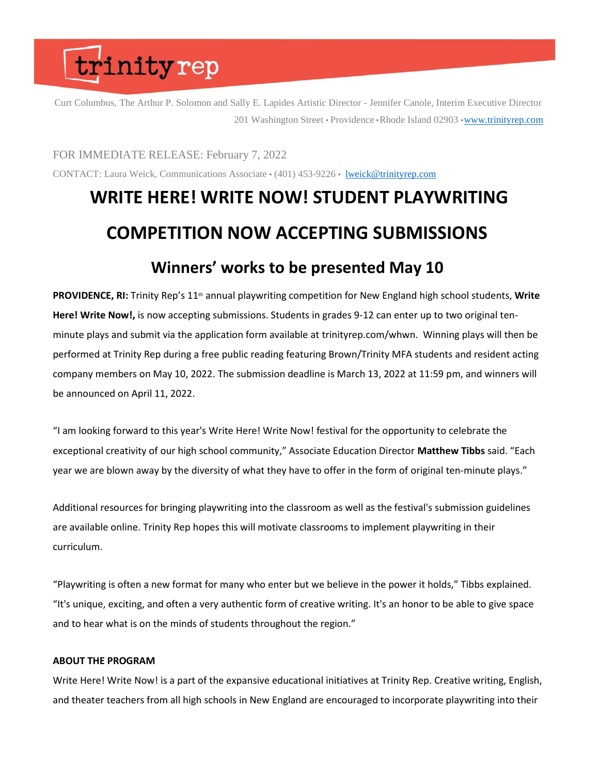## trinityrep

Curt Columbus, The Arthur P. Solomon and Sally E. Lapides Artistic Director - Jennifer Canole, Interim Executive Director 201 Washington Street • Providence • Rhode Island 02903 • [www.trinityrep.com](http://www.trinityrep.com/)

FOR IMMEDIATE RELEASE: February 7, 2022

CONTACT: Laura Weick, Communications Associate  $\cdot$  (401) 453-9226  $\cdot$  [lweick@trinityrep.com](mailto:lweick@trinityrep.com)

### **WRITE HERE! WRITE NOW! STUDENT PLAYWRITING COMPETITION NOW ACCEPTING SUBMISSIONS Winners' works to be presented May 10**

**PROVIDENCE, RI:** Trinity Rep's 11<sup>th</sup> annual playwriting competition for New England high school students, Write **Here! Write Now!,** is now accepting submissions. Students in grades 9-12 can enter up to two original tenminute plays and submit via the application form available at trinityrep.com/whwn. Winning plays will then be performed at Trinity Rep during a free public reading featuring Brown/Trinity MFA students and resident acting company members on May 10, 2022. The submission deadline is March 13, 2022 at 11:59 pm, and winners will be announced on April 11, 2022.

"I am looking forward to this year's Write Here! Write Now! festival for the opportunity to celebrate the exceptional creativity of our high school community," Associate Education Director **Matthew Tibbs** said. "Each year we are blown away by the diversity of what they have to offer in the form of original ten-minute plays."

Additional resources for bringing playwriting into the classroom as well as the festival's submission guidelines are available online. Trinity Rep hopes this will motivate classrooms to implement playwriting in their curriculum.

"Playwriting is often a new format for many who enter but we believe in the power it holds," Tibbs explained. "It's unique, exciting, and often a very authentic form of creative writing. It's an honor to be able to give space and to hear what is on the minds of students throughout the region."

### **ABOUT THE PROGRAM**

Write Here! Write Now! is a part of the expansive educational initiatives at Trinity Rep. Creative writing, English, and theater teachers from all high schools in New England are encouraged to incorporate playwriting into their